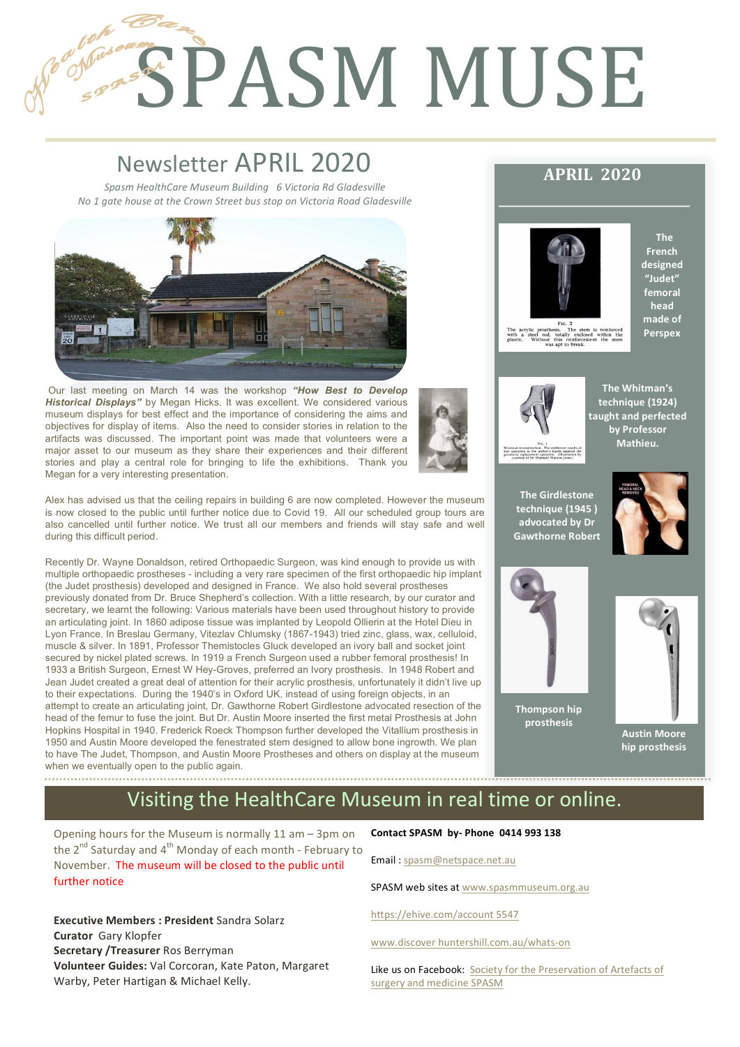# **SPASM MUSE**

# Newsletter APRIL 2020

1

2

*Spasm HealthCare Museum Building 6 Victoria Rd Gladesville No* 1 gate house at the Crown Street bus stop on Victoria Road Gladesville



Our last meeting on March 14 was the workshop *"How Best to Develop Historical Displays"* by Megan Hicks. It was excellent. We considered various museum displays for best effect and the importance of considering the aims and objectives for display of items. Also the need to consider stories in relation to the artifacts was discussed. The important point was made that volunteers were a major asset to our museum as they share their experiences and their different stories and play a central role for bringing to life the exhibitions. Thank you Megan for a very interesting presentation.

Alex has advised us that the ceiling repairs in building 6 are now completed. However the museum is now closed to the public until further notice due to Covid 19. All our scheduled group tours are also cancelled until further notice. We trust all our members and friends will stay safe and well during this difficult period.

Recently Dr. Wayne Donaldson, retired Orthopaedic Surgeon, was kind enough to provide us with multiple orthopaedic prostheses - including a very rare specimen of the first orthopaedic hip implant (the Judet prosthesis) developed and designed in France. We also hold several prostheses previously donated from Dr. Bruce Shepherd's collection. With a little research, by our curator and secretary, we learnt the following: Various materials have been used throughout history to provide an articulating joint. In 1860 adipose tissue was implanted by Leopold Ollierin at the Hotel Dieu in Lyon France. In Breslau Germany, Vitezlav Chlumsky (1867-1943) tried zinc, glass, wax, celluloid, muscle & silver. In 1891, Professor Themistocles Gluck developed an ivory ball and socket joint secured by nickel plated screws. In 1919 a French Surgeon used a rubber femoral prosthesis! In 1933 a British Surgeon, Ernest W Hey-Groves, preferred an Ivory prosthesis. In 1948 Robert and Jean Judet created a great deal of attention for their acrylic prosthesis, unfortunately it didn't live up to their expectations. During the 1940's in Oxford UK, instead of using foreign objects, in an attempt to create an articulating joint, Dr. Gawthorne Robert Girdlestone advocated resection of the head of the femur to fuse the joint. But Dr. Austin Moore inserted the first metal Prosthesis at John Hopkins Hospital in 1940. Frederick Roeck Thompson further developed the Vitallium prosthesis in 1950 and Austin Moore developed the fenestrated stem designed to allow bone ingrowth. We plan to have The Judet, Thompson, and Austin Moore Prostheses and others on display at the museum when we eventually open to the public again.

# **APRIL 2020**



**The French**  designed **"Judet" femoral head**  made of **Perspex**



**The Whitman's technique (1924) taught and perfected by Professor Mathieu.** 

**The Girdlestone technique (1945 ) advocated by Dr**  Gawthorne Robert





**Thompson hip prosthesis** 



**Austin Moore** hip prosthesis

# Visiting the HealthCare Museum in real time or online.

Opening hours for the Museum is normally  $11$  am – 3pm on the  $2^{nd}$  Saturday and  $4^{th}$  Monday of each month - February to November. The museum will be closed to the public until further notice

**Executive Members : President Sandra Solarz Curator** Gary Klopfer **Secretary /Treasurer** Ros Berryman **Volunteer Guides:** Val Corcoran, Kate Paton, Margaret Warby, Peter Hartigan & Michael Kelly.

**Contact SPASM by- Phone 0414 993 138** 

Email: spasm@netspace.net.au

SPASM web sites at www.spasmmuseum.org.au

https://ehive.com/account 5547

www.discover huntershill.com.au/whats-on

Like us on Facebook: Society for the Preservation of Artefacts of surgery and medicine SPASM